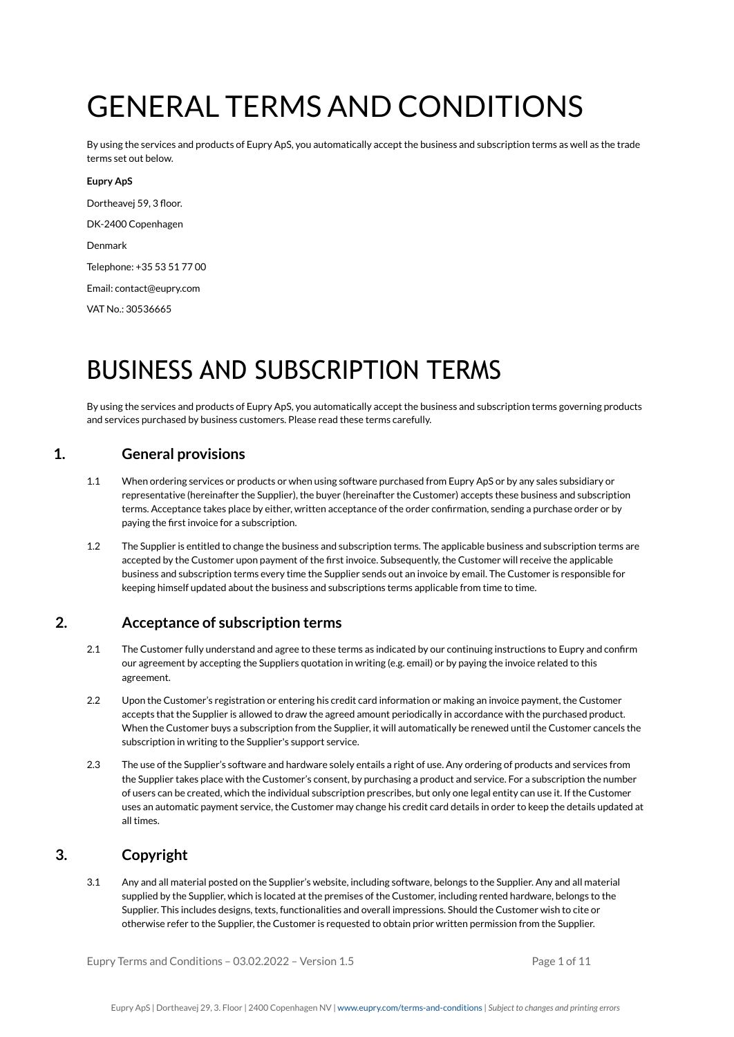# GENERAL TERMS AND CONDITIONS

By using the services and products of Eupry ApS, you automatically accept the business and subscription terms as well as the trade terms set out below.

## **Eupry ApS**

Dortheavej 59, 3 floor. DK-2400 Copenhagen Denmark Telephone: +35 53 51 77 00 Email: contact@eupry.com VAT No.: 30536665

# BUSINESS AND SUBSCRIPTION TERMS

By using the services and products of Eupry ApS, you automatically accept the business and subscription terms governing products and services purchased by business customers. Please read these terms carefully.

# **1. General provisions**

- 1.1 When ordering services or products or when using software purchased from Eupry ApS or by any sales subsidiary or representative (hereinafter the Supplier), the buyer (hereinafter the Customer) accepts these business and subscription terms. Acceptance takes place by either, written acceptance of the order confirmation, sending a purchase order or by paying the first invoice for a subscription.
- 1.2 The Supplier is entitled to change the business and subscription terms. The applicable business and subscription terms are accepted by the Customer upon payment of the first invoice. Subsequently, the Customer will receive the applicable business and subscription terms every time the Supplier sends out an invoice by email. The Customer is responsible for keeping himself updated about the business and subscriptions terms applicable from time to time.

## **2. Acceptance of subscription terms**

- 2.1 The Customer fully understand and agree to these terms as indicated by our continuing instructions to Eupry and confirm our agreement by accepting the Suppliers quotation in writing (e.g. email) or by paying the invoice related to this agreement.
- 2.2 Upon the Customer's registration or entering his credit card information or making an invoice payment, the Customer accepts that the Supplier is allowed to draw the agreed amount periodically in accordance with the purchased product. When the Customer buys a subscription from the Supplier, it will automatically be renewed until the Customer cancels the subscription in writing to the Supplier's support service.
- 2.3 The use of the Supplier's software and hardware solely entails a right of use. Any ordering of products and services from the Supplier takes place with the Customer's consent, by purchasing a product and service. For a subscription the number of users can be created, which the individual subscription prescribes, but only one legal entity can use it. If the Customer uses an automatic payment service, the Customer may change his credit card details in order to keep the details updated at all times.

# **3. Copyright**

3.1 Any and all material posted on the Supplier's website, including software, belongs to the Supplier. Any and all material supplied by the Supplier, which is located at the premises of the Customer, including rented hardware, belongs to the Supplier. This includes designs, texts, functionalities and overall impressions. Should the Customer wish to cite or otherwise refer to the Supplier, the Customer is requested to obtain prior written permission from the Supplier.

Eupry Terms and Conditions  $-03.02.2022 -$  Version 1.5 Page 1 of 11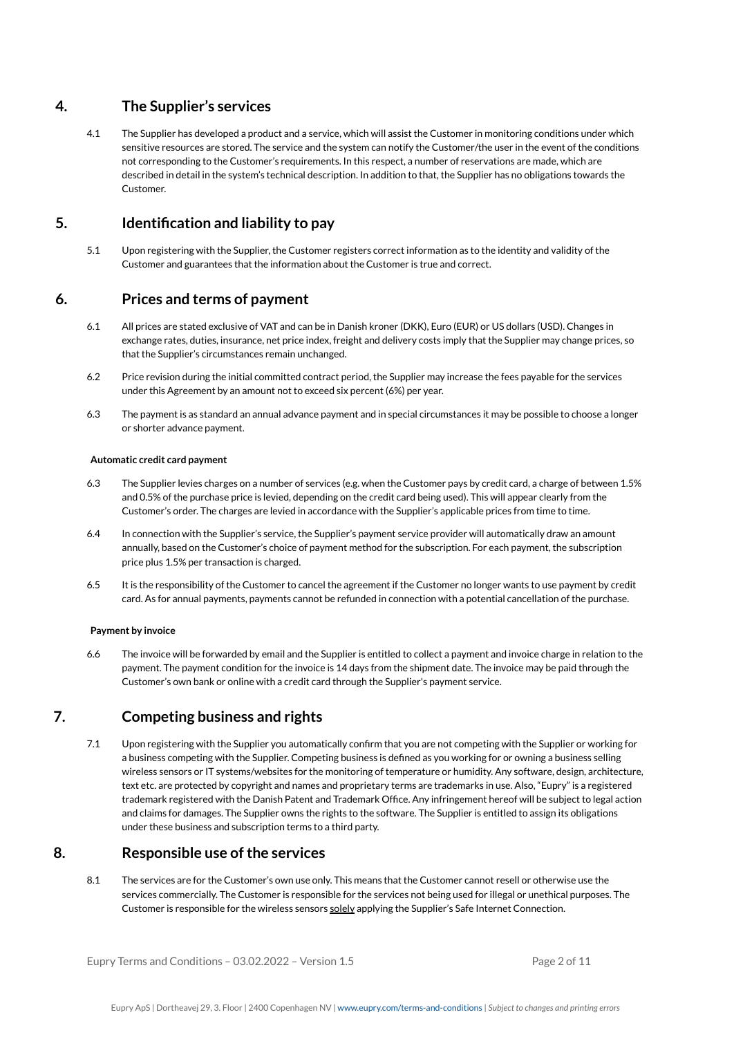# **4. The Supplier's services**

4.1 The Supplier has developed a product and a service, which will assist the Customer in monitoring conditions under which sensitive resources are stored. The service and the system can notify the Customer/the user in the event of the conditions not corresponding to the Customer's requirements. In this respect, a number of reservations are made, which are described in detail in the system's technical description. In addition to that, the Supplier has no obligations towards the Customer.

# **5. Identification and liability to pay**

5.1 Upon registering with the Supplier, the Customer registers correct information as to the identity and validity of the Customer and guarantees that the information about the Customer is true and correct.

# **6. Prices and terms of payment**

- 6.1 All prices are stated exclusive of VAT and can be in Danish kroner (DKK), Euro (EUR) or US dollars (USD). Changes in exchange rates, duties, insurance, net price index, freight and delivery costs imply that the Supplier may change prices, so that the Supplier's circumstances remain unchanged.
- 6.2 Price revision during the initial committed contract period, the Supplier may increase the fees payable for the services under this Agreement by an amount not to exceed six percent (6%) per year.
- 6.3 The payment is as standard an annual advance payment and in special circumstances it may be possible to choose a longer or shorter advance payment.

## **Automatic credit card payment**

- 6.3 The Supplier levies charges on a number of services (e.g. when the Customer pays by credit card, a charge of between 1.5% and 0.5% of the purchase price is levied, depending on the credit card being used). This will appear clearly from the Customer's order. The charges are levied in accordance with the Supplier's applicable prices from time to time.
- 6.4 In connection with the Supplier's service, the Supplier's payment service provider will automatically draw an amount annually, based on the Customer's choice of payment method for the subscription. For each payment, the subscription price plus 1.5% per transaction is charged.
- 6.5 It is the responsibility of the Customer to cancel the agreement if the Customer no longer wants to use payment by credit card. As for annual payments, payments cannot be refunded in connection with a potential cancellation of the purchase.

## **Payment by invoice**

6.6 The invoice will be forwarded by email and the Supplier is entitled to collect a payment and invoice charge in relation to the payment. The payment condition for the invoice is 14 days from the shipment date. The invoice may be paid through the Customer's own bank or online with a credit card through the Supplier's payment service.

# **7. Competing business and rights**

7.1 Upon registering with the Supplier you automatically confirm that you are not competing with the Supplier or working for a business competing with the Supplier. Competing business is defined as you working for or owning a business selling wireless sensors or IT systems/websites for the monitoring of temperature or humidity. Any software, design, architecture, text etc. are protected by copyright and names and proprietary terms are trademarks in use. Also, "Eupry" is a registered trademark registered with the Danish Patent and Trademark Office. Any infringement hereof will be subject to legal action and claims for damages. The Supplier owns the rights to the software. The Supplier is entitled to assign its obligations under these business and subscription terms to a third party.

# **8. Responsible use ofthe services**

8.1 The services are for the Customer's own use only. This means that the Customer cannot resell or otherwise use the services commercially. The Customer is responsible for the services not being used for illegal or unethical purposes. The Customer is responsible for the wireless sensors solely applying the Supplier's Safe Internet Connection.

Eupry Terms and Conditions  $-03.02.2022 -$  Version 1.5 Page 2 of 11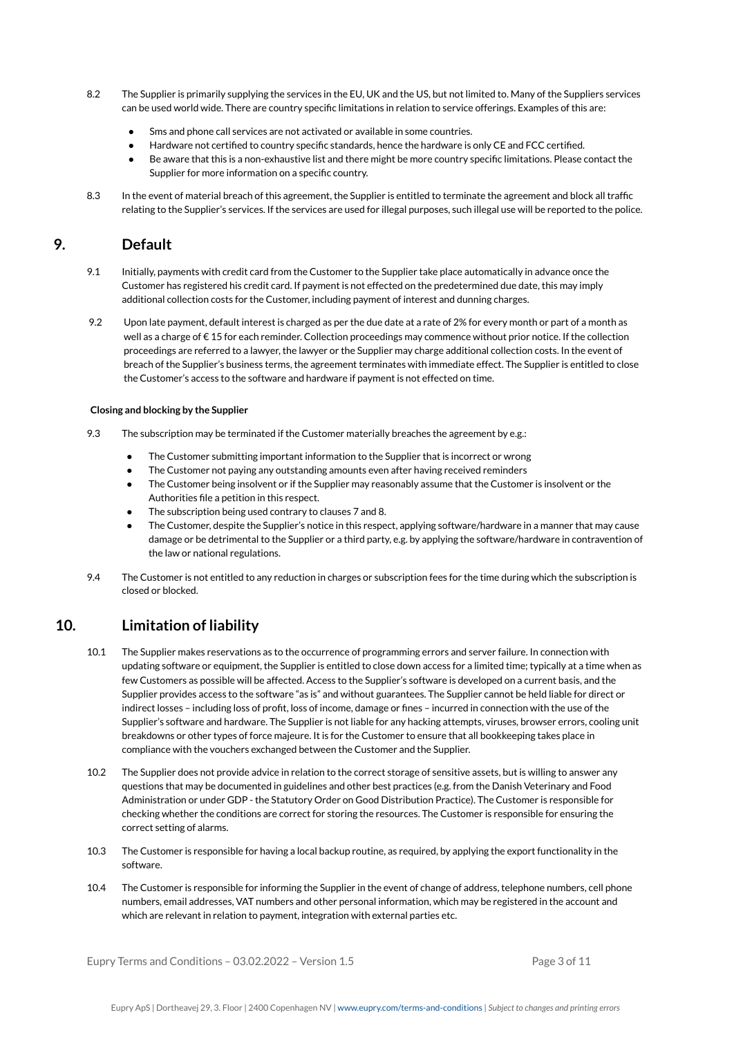- 8.2 The Supplier is primarily supplying the services in the EU, UK and the US, but not limited to. Many of the Suppliers services can be used world wide. There are country specific limitations in relation to service offerings. Examples of this are:
	- Sms and phone call services are not activated or available in some countries.
	- Hardware not certified to country specific standards, hence the hardware is only CE and FCC certified.
	- Be aware that this is a non-exhaustive list and there might be more country specific limitations. Please contact the Supplier for more information on a specific country.
- 8.3 In the event of material breach of this agreement, the Supplier is entitled to terminate the agreement and block all traffic relating to the Supplier's services. If the services are used for illegal purposes, such illegal use will be reported to the police.

## **9. Default**

- 9.1 Initially, payments with credit card from the Customer to the Supplier take place automatically in advance once the Customer has registered his credit card. If payment is not effected on the predetermined due date, this may imply additional collection costs for the Customer, including payment of interest and dunning charges.
- 9.2 Upon late payment, default interest is charged as per the due date at a rate of 2% for every month or part of a month as well as a charge of € 15 for each reminder. Collection proceedings may commence without prior notice. If the collection proceedings are referred to a lawyer, the lawyer or the Supplier may charge additional collection costs. In the event of breach of the Supplier's business terms, the agreement terminates with immediate effect. The Supplier is entitled to close the Customer's access to the software and hardware if payment is not effected on time.

### **Closing and blocking by the Supplier**

- 9.3 The subscription may be terminated if the Customer materially breaches the agreement by e.g.:
	- The Customer submitting important information to the Supplier that is incorrect or wrong
	- The Customer not paying any outstanding amounts even after having received reminders
	- The Customer being insolvent or if the Supplier may reasonably assume that the Customer is insolvent or the Authorities file a petition in this respect.
	- The subscription being used contrary to clauses 7 and 8.
	- The Customer, despite the Supplier's notice in this respect, applying software/hardware in a manner that may cause damage or be detrimental to the Supplier or a third party, e.g. by applying the software/hardware in contravention of the law or national regulations.
- 9.4 The Customer is not entitled to any reduction in charges or subscription fees for the time during which the subscription is closed or blocked.

## **10. Limitation of liability**

- 10.1 The Supplier makes reservations as to the occurrence of programming errors and server failure. In connection with updating software or equipment, the Supplier is entitled to close down access for a limited time; typically at a time when as few Customers as possible will be affected. Access to the Supplier's software is developed on a current basis, and the Supplier provides access to the software "as is" and without guarantees. The Supplier cannot be held liable for direct or indirect losses – including loss of profit, loss of income, damage or fines – incurred in connection with the use of the Supplier's software and hardware. The Supplier is not liable for any hacking attempts, viruses, browser errors, cooling unit breakdowns or other types of force majeure. It is for the Customer to ensure that all bookkeeping takes place in compliance with the vouchers exchanged between the Customer and the Supplier.
- 10.2 The Supplier does not provide advice in relation to the correct storage of sensitive assets, but is willing to answer any questions that may be documented in guidelines and other best practices (e.g. from the Danish Veterinary and Food Administration or under GDP - the Statutory Order on Good Distribution Practice). The Customer is responsible for checking whether the conditions are correct for storing the resources. The Customer is responsible for ensuring the correct setting of alarms.
- 10.3 The Customer is responsible for having a local backup routine, as required, by applying the export functionality in the software.
- 10.4 The Customer is responsible for informing the Supplier in the event of change of address, telephone numbers, cell phone numbers, email addresses, VAT numbers and other personal information, which may be registered in the account and which are relevant in relation to payment, integration with external parties etc.

Eupry Terms and Conditions  $-03.02.2022 -$  Version 1.5 Page 3 of 11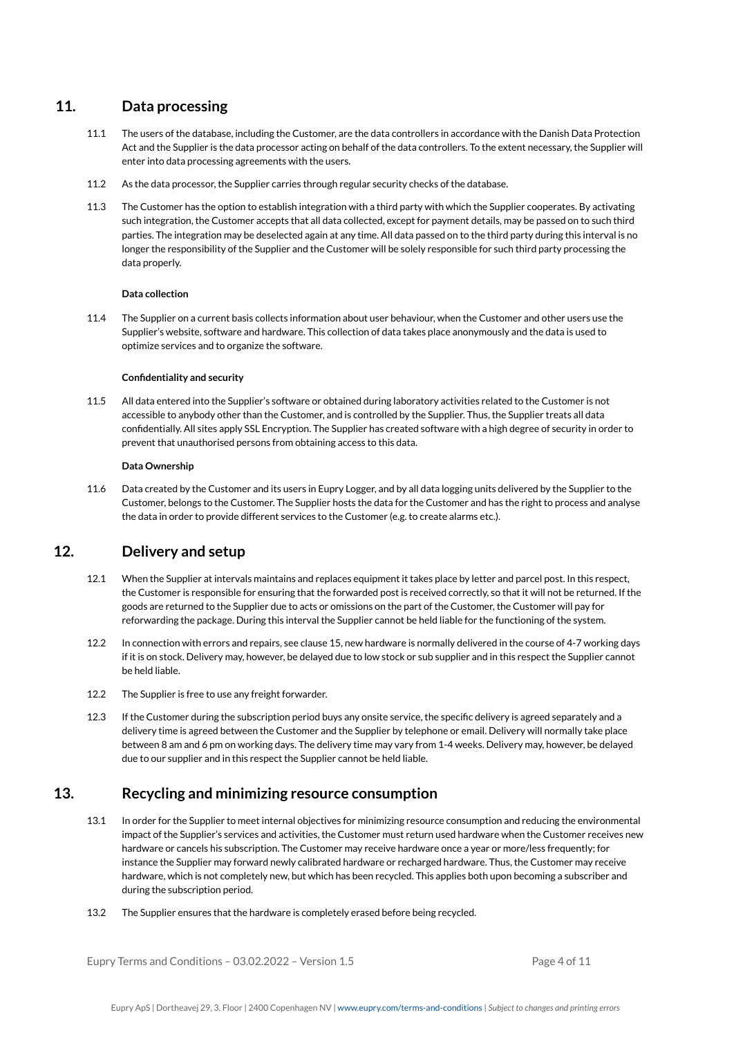# **11. Data processing**

- 11.1 The users of the database, including the Customer, are the data controllers in accordance with the Danish Data Protection Act and the Supplier is the data processor acting on behalf of the data controllers. To the extent necessary, the Supplier will enter into data processing agreements with the users.
- 11.2 As the data processor, the Supplier carries through regular security checks of the database.
- 11.3 The Customer has the option to establish integration with a third party with which the Supplier cooperates. By activating such integration, the Customer accepts that all data collected, except for payment details, may be passed on to such third parties. The integration may be deselected again at any time. All data passed on to the third party during this interval is no longer the responsibility of the Supplier and the Customer will be solely responsible for such third party processing the data properly.

## **Data collection**

11.4 The Supplier on a current basis collects information about user behaviour, when the Customer and other users use the Supplier's website, software and hardware. This collection of data takes place anonymously and the data is used to optimize services and to organize the software.

### **Confidentiality and security**

11.5 All data entered into the Supplier's software or obtained during laboratory activities related to the Customer is not accessible to anybody other than the Customer, and is controlled by the Supplier. Thus, the Supplier treats all data confidentially. All sites apply SSL Encryption. The Supplier has created software with a high degree of security in order to prevent that unauthorised persons from obtaining access to this data.

### **Data Ownership**

11.6 Data created by the Customer and its users in Eupry Logger, and by all data logging units delivered by the Supplier to the Customer, belongs to the Customer. The Supplier hosts the data for the Customer and has the right to process and analyse the data in order to provide different services to the Customer (e.g. to create alarms etc.).

# **12. Delivery and setup**

- 12.1 When the Supplier at intervals maintains and replaces equipment it takes place by letter and parcel post. In this respect, the Customer is responsible for ensuring that the forwarded post is received correctly, so that it will not be returned. If the goods are returned to the Supplier due to acts or omissions on the part of the Customer, the Customer will pay for reforwarding the package. During this interval the Supplier cannot be held liable for the functioning of the system.
- 12.2 In connection with errors and repairs, see clause 15, new hardware is normally delivered in the course of 4-7 working days if it is on stock. Delivery may, however, be delayed due to low stock or sub supplier and in this respect the Supplier cannot be held liable.
- 12.2 The Supplier is free to use any freight forwarder.
- 12.3 If the Customer during the subscription period buys any onsite service, the specific delivery is agreed separately and a delivery time is agreed between the Customer and the Supplier by telephone or email. Delivery will normally take place between 8 am and 6 pm on working days. The delivery time may vary from 1-4 weeks. Delivery may, however, be delayed due to our supplier and in this respect the Supplier cannot be held liable.

## **13. Recycling and minimizing resource consumption**

- 13.1 In order for the Supplier to meet internal objectives for minimizing resource consumption and reducing the environmental impact of the Supplier's services and activities, the Customer must return used hardware when the Customer receives new hardware or cancels his subscription. The Customer may receive hardware once a year or more/less frequently; for instance the Supplier may forward newly calibrated hardware or recharged hardware. Thus, the Customer may receive hardware, which is not completely new, but which has been recycled. This applies both upon becoming a subscriber and during the subscription period.
- 13.2 The Supplier ensures that the hardware is completely erased before being recycled.

Eupry Terms and Conditions  $-03.02.2022 -$  Version 1.5 Page 4 of 11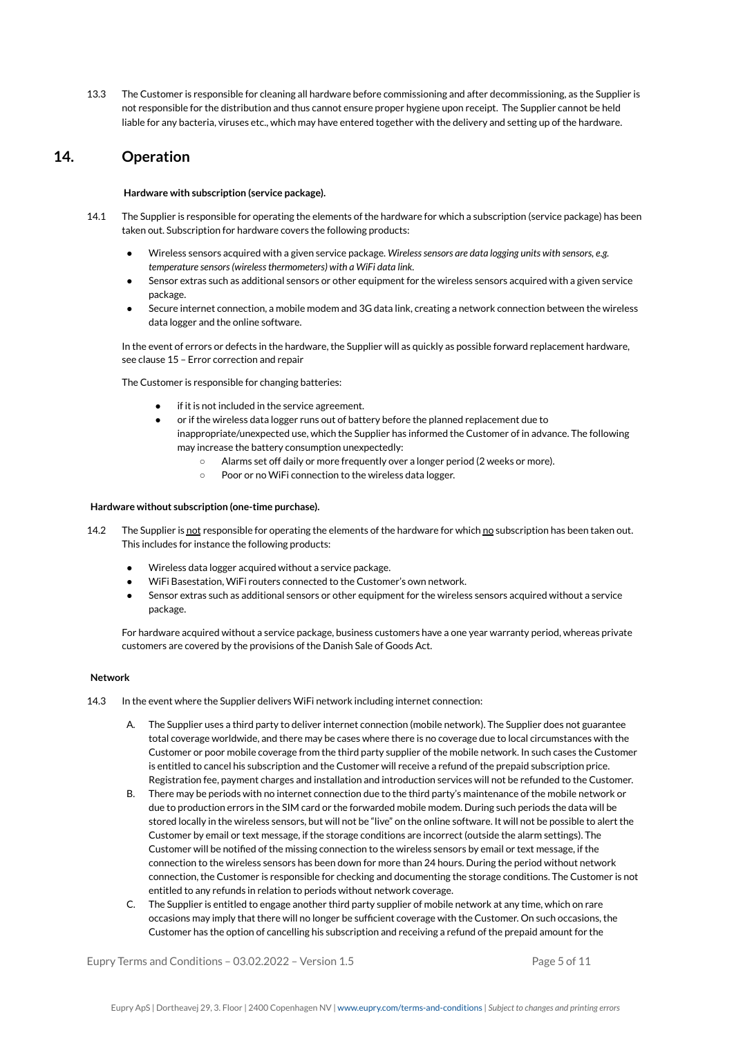13.3 The Customer is responsible for cleaning all hardware before commissioning and after decommissioning, as the Supplier is not responsible for the distribution and thus cannot ensure proper hygiene upon receipt. The Supplier cannot be held liable for any bacteria, viruses etc., which may have entered together with the delivery and setting up of the hardware.

## **14. Operation**

#### **Hardware with subscription (service package).**

- 14.1 The Supplier is responsible for operating the elements of the hardware for which a subscription (service package) has been taken out. Subscription for hardware covers the following products:
	- *●* Wireless sensors acquired with a given service package. *Wirelesssensors are data logging units with sensors, e.g. temperature sensors(wirelessthermometers) with a WiFi data link.*
	- Sensor extras such as additional sensors or other equipment for the wireless sensors acquired with a given service package.
	- Secure internet connection, a mobile modem and 3G data link, creating a network connection between the wireless data logger and the online software.

In the event of errors or defects in the hardware, the Supplier will as quickly as possible forward replacement hardware, see clause 15 – Error correction and repair

The Customer is responsible for changing batteries:

- if it is not included in the service agreement.
- or if the wireless data logger runs out of battery before the planned replacement due to inappropriate/unexpected use, which the Supplier has informed the Customer of in advance. The following may increase the battery consumption unexpectedly:
	- Alarms set off daily or more frequently over a longer period (2 weeks or more).
	- Poor or no WiFi connection to the wireless data logger.

### **Hardware without subscription (one-time purchase).**

- 14.2 The Supplier is not responsible for operating the elements of the hardware for which no subscription has been taken out. This includes for instance the following products:
	- Wireless data logger acquired without a service package.
	- WiFi Basestation, WiFi routers connected to the Customer's own network.
	- Sensor extras such as additional sensors or other equipment for the wireless sensors acquired without a service package.

For hardware acquired without a service package, business customers have a one year warranty period, whereas private customers are covered by the provisions of the Danish Sale of Goods Act.

#### **Network**

- 14.3 In the event where the Supplier delivers WiFi network including internet connection:
	- A. The Supplier uses a third party to deliver internet connection (mobile network). The Supplier does not guarantee total coverage worldwide, and there may be cases where there is no coverage due to local circumstances with the Customer or poor mobile coverage from the third party supplier of the mobile network. In such cases the Customer is entitled to cancel his subscription and the Customer will receive a refund of the prepaid subscription price. Registration fee, payment charges and installation and introduction services will not be refunded to the Customer.
	- B. There may be periods with no internet connection due to the third party's maintenance of the mobile network or due to production errors in the SIM card or the forwarded mobile modem. During such periods the data will be stored locally in the wireless sensors, but will not be "live" on the online software. It will not be possible to alert the Customer by email or text message, if the storage conditions are incorrect (outside the alarm settings). The Customer will be notified of the missing connection to the wireless sensors by email or text message, if the connection to the wireless sensors has been down for more than 24 hours. During the period without network connection, the Customer is responsible for checking and documenting the storage conditions. The Customer is not entitled to any refunds in relation to periods without network coverage.
	- C. The Supplier is entitled to engage another third party supplier of mobile network at any time, which on rare occasions may imply that there will no longer be sufficient coverage with the Customer. On such occasions, the Customer has the option of cancelling his subscription and receiving a refund of the prepaid amount for the

Eupry Terms and Conditions  $-03.02.2022 -$  Version  $1.5$  Page 5 of 11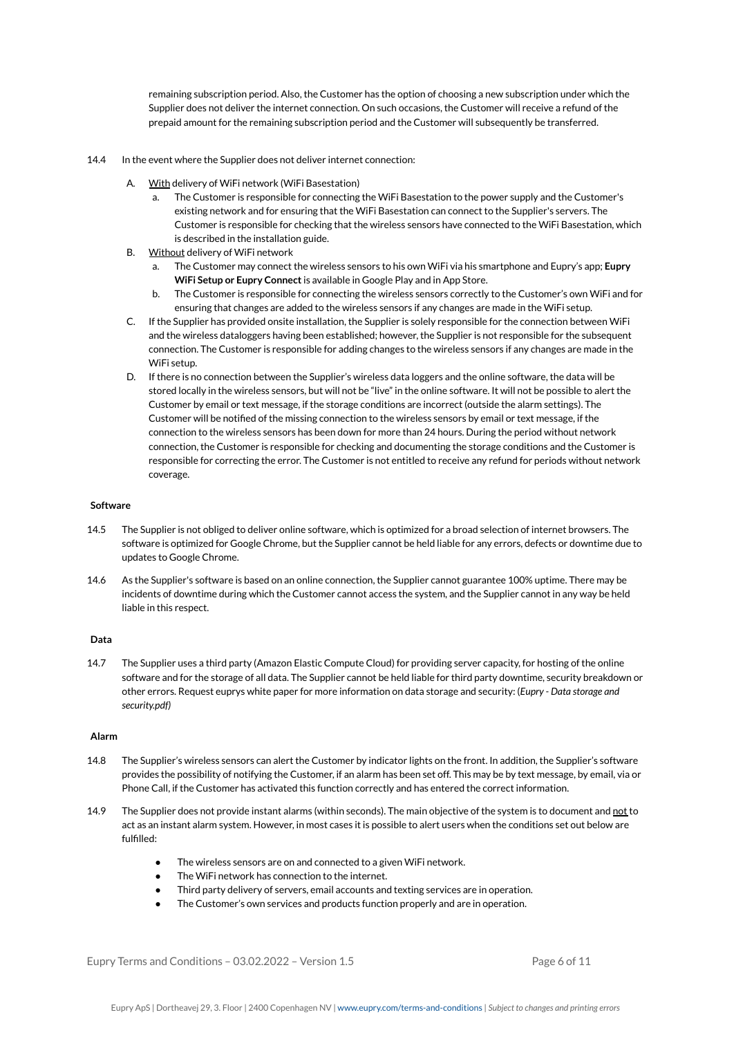remaining subscription period. Also, the Customer has the option of choosing a new subscription under which the Supplier does not deliver the internet connection. On such occasions, the Customer will receive a refund of the prepaid amount for the remaining subscription period and the Customer will subsequently be transferred.

- 14.4 In the event where the Supplier does not deliver internet connection:
	- A. With delivery of WiFi network (WiFi Basestation)
		- a. The Customer is responsible for connecting the WiFi Basestation to the power supply and the Customer's existing network and for ensuring that the WiFi Basestation can connect to the Supplier's servers. The Customer is responsible for checking that the wireless sensors have connected to the WiFi Basestation, which is described in the installation guide.
	- B. Without delivery of WiFi network
		- a. The Customer may connect the wireless sensors to his own WiFi via his smartphone and Eupry's app; **Eupry WiFi Setup or Eupry Connect**is available in Google Play and in App Store.
		- b. The Customer is responsible for connecting the wireless sensors correctly to the Customer's own WiFi and for ensuring that changes are added to the wireless sensors if any changes are made in the WiFi setup.
	- C. If the Supplier has provided onsite installation, the Supplier is solely responsible for the connection between WiFi and the wireless dataloggers having been established; however, the Supplier is not responsible for the subsequent connection. The Customer is responsible for adding changes to the wireless sensors if any changes are made in the WiFi setup.
	- D. If there is no connection between the Supplier's wireless data loggers and the online software, the data will be stored locally in the wireless sensors, but will not be "live" in the online software. It will not be possible to alert the Customer by email or text message, if the storage conditions are incorrect (outside the alarm settings). The Customer will be notified of the missing connection to the wireless sensors by email or text message, if the connection to the wireless sensors has been down for more than 24 hours. During the period without network connection, the Customer is responsible for checking and documenting the storage conditions and the Customer is responsible for correcting the error. The Customer is not entitled to receive any refund for periods without network coverage.

## **Software**

- 14.5 The Supplier is not obliged to deliver online software, which is optimized for a broad selection of internet browsers. The software is optimized for Google Chrome, but the Supplier cannot be held liable for any errors, defects or downtime due to updates to Google Chrome.
- 14.6 As the Supplier's software is based on an online connection, the Supplier cannot guarantee 100% uptime. There may be incidents of downtime during which the Customer cannot access the system, and the Supplier cannot in any way be held liable in this respect.

## **Data**

14.7 The Supplier uses a third party (Amazon Elastic Compute Cloud) for providing server capacity, for hosting of the online software and for the storage of all data. The Supplier cannot be held liable for third party downtime, security breakdown or other errors. Request euprys white paper for more information on data storage and security: (*Eupry - Data storage and security.pdf)*

#### **Alarm**

- 14.8 The Supplier's wireless sensors can alert the Customer by indicator lights on the front. In addition, the Supplier's software provides the possibility of notifying the Customer, if an alarm has been set off. This may be by text message, by email, via or Phone Call, if the Customer has activated this function correctly and has entered the correct information.
- 14.9 The Supplier does not provide instant alarms (within seconds). The main objective of the system is to document and not to act as an instant alarm system. However, in most cases it is possible to alert users when the conditions set out below are fulfilled:
	- The wireless sensors are on and connected to a given WiFi network.
	- The WiFi network has connection to the internet.
	- Third party delivery of servers, email accounts and texting services are in operation.
	- The Customer's own services and products function properly and are in operation.

Eupry Terms and Conditions  $-03.02.2022 -$  Version 1.5 Page 6 of 11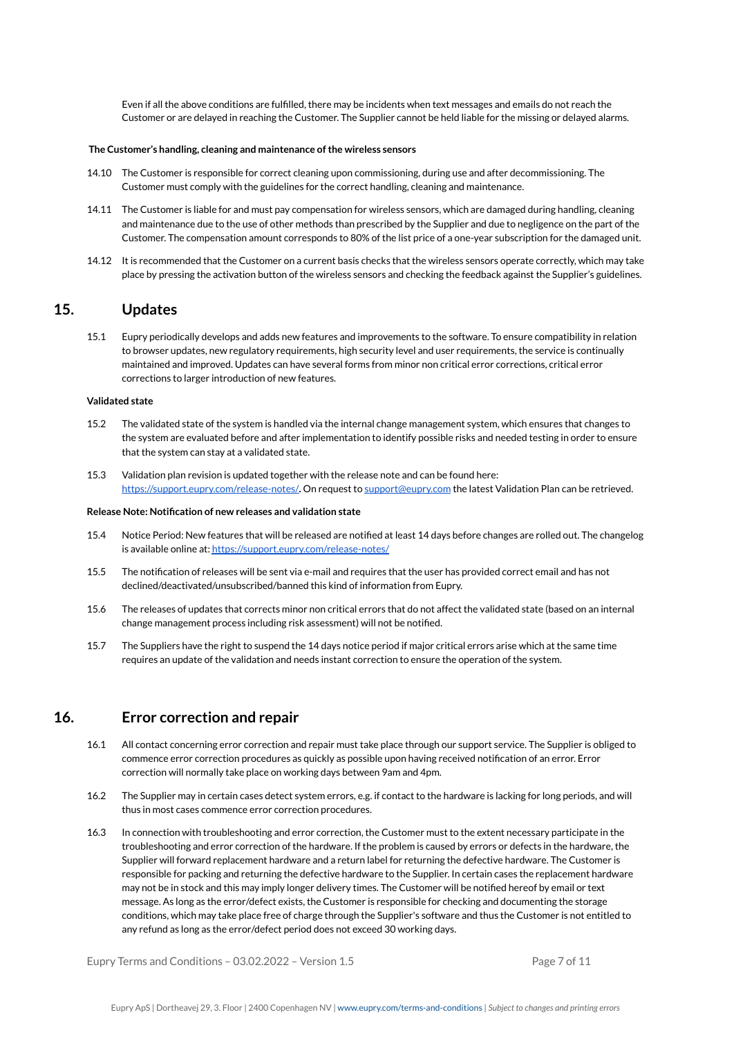Even if all the above conditions are fulfilled, there may be incidents when text messages and emails do not reach the Customer or are delayed in reaching the Customer. The Supplier cannot be held liable for the missing or delayed alarms.

#### **The Customer's handling, cleaning and maintenance ofthe wireless sensors**

- 14.10 The Customer is responsible for correct cleaning upon commissioning, during use and after decommissioning. The Customer must comply with the guidelines for the correct handling, cleaning and maintenance.
- 14.11 The Customer is liable for and must pay compensation for wireless sensors, which are damaged during handling, cleaning and maintenance due to the use of other methods than prescribed by the Supplier and due to negligence on the part of the Customer. The compensation amount corresponds to 80% of the list price of a one-year subscription for the damaged unit.
- 14.12 It is recommended that the Customer on a current basis checks that the wireless sensors operate correctly, which may take place by pressing the activation button of the wireless sensors and checking the feedback against the Supplier's guidelines.

## **15. Updates**

15.1 Eupry periodically develops and adds new features and improvements to the software. To ensure compatibility in relation to browser updates, new regulatory requirements, high security level and user requirements, the service is continually maintained and improved. Updates can have several forms from minor non critical error corrections, critical error corrections to larger introduction of new features.

#### **Validated state**

- 15.2 The validated state of the system is handled via the internal change management system, which ensures that changes to the system are evaluated before and after implementation to identify possible risks and needed testing in order to ensure that the system can stay at a validated state.
- 15.3 Validation plan revision is updated together with the release note and can be found here: <https://support.eupry.com/release-notes/>**.** On request to [support@eupry.com](mailto:support@eupry.com) the latest Validation Plan can be retrieved.

#### **Release Note: Notification of new releases and validation state**

- 15.4 Notice Period: New features that will be released are notified at least 14 days before changes are rolled out. The changelog is available online at: <https://support.eupry.com/release-notes/>
- 15.5 The notification of releases will be sent via e-mail and requires that the user has provided correct email and has not declined/deactivated/unsubscribed/banned this kind of information from Eupry.
- 15.6 The releases of updates that corrects minor non critical errors that do not affect the validated state (based on an internal change management process including risk assessment) will not be notified.
- 15.7 The Suppliers have the right to suspend the 14 days notice period if major critical errors arise which at the same time requires an update of the validation and needs instant correction to ensure the operation of the system.

## **16. Error correction and repair**

- 16.1 All contact concerning error correction and repair must take place through our support service. The Supplier is obliged to commence error correction procedures as quickly as possible upon having received notification of an error. Error correction will normally take place on working days between 9am and 4pm.
- 16.2 The Supplier may in certain cases detect system errors, e.g. if contact to the hardware is lacking for long periods, and will thus in most cases commence error correction procedures.
- 16.3 In connection with troubleshooting and error correction, the Customer must to the extent necessary participate in the troubleshooting and error correction of the hardware. If the problem is caused by errors or defects in the hardware, the Supplier will forward replacement hardware and a return label for returning the defective hardware. The Customer is responsible for packing and returning the defective hardware to the Supplier. In certain cases the replacement hardware may not be in stock and this may imply longer delivery times. The Customer will be notified hereof by email or text message. As long as the error/defect exists, the Customer is responsible for checking and documenting the storage conditions, which may take place free of charge through the Supplier's software and thus the Customer is not entitled to any refund as long as the error/defect period does not exceed 30 working days.

Eupry Terms and Conditions  $-03.02.2022 -$  Version 1.5 Page 7 of 11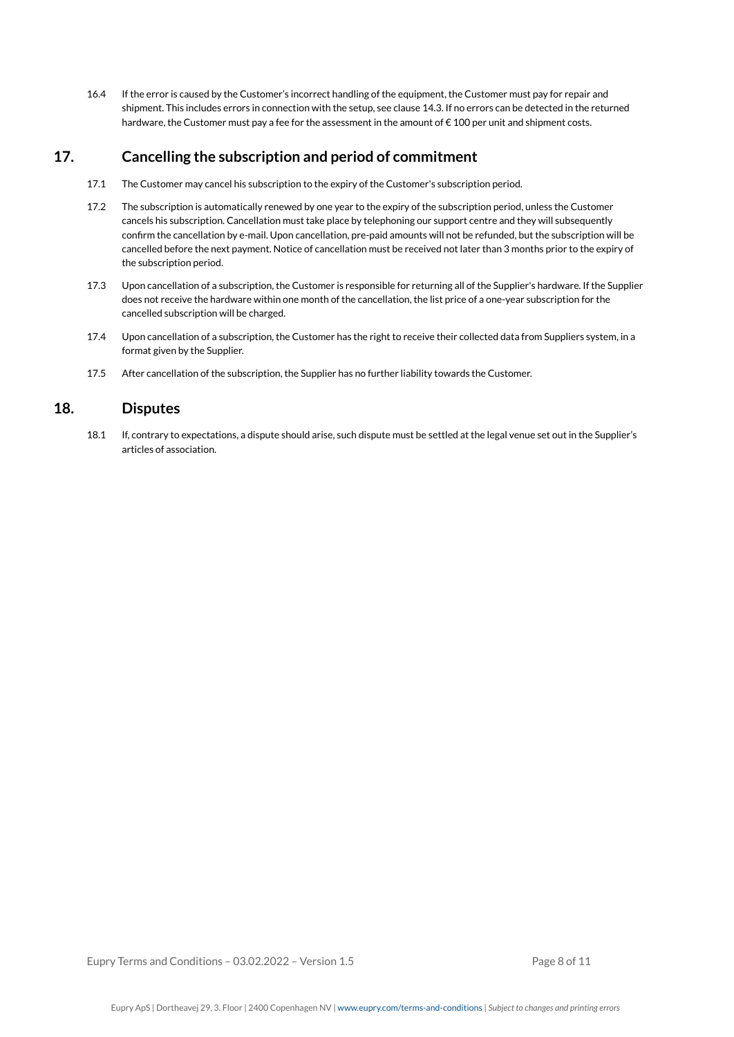16.4 If the error is caused by the Customer's incorrect handling of the equipment, the Customer must pay for repair and shipment. This includes errors in connection with the setup, see clause 14.3. If no errors can be detected in the returned hardware, the Customer must pay a fee for the assessment in the amount of €100 per unit and shipment costs.

# **17. Cancelling the subscription and period of commitment**

- 17.1 The Customer may cancel his subscription to the expiry of the Customer's subscription period.
- 17.2 The subscription is automatically renewed by one year to the expiry of the subscription period, unless the Customer cancels his subscription. Cancellation must take place by telephoning our support centre and they will subsequently confirm the cancellation by e-mail. Upon cancellation, pre-paid amounts will not be refunded, but the subscription will be cancelled before the next payment. Notice of cancellation must be received not later than 3 months prior to the expiry of the subscription period.
- 17.3 Upon cancellation of a subscription, the Customer is responsible for returning all of the Supplier's hardware. If the Supplier does not receive the hardware within one month of the cancellation, the list price of a one-year subscription for the cancelled subscription will be charged.
- 17.4 Upon cancellation of a subscription, the Customer has the right to receive their collected data from Suppliers system, in a format given by the Supplier.
- 17.5 After cancellation of the subscription, the Supplier has no further liability towards the Customer.

## **18. Disputes**

18.1 If, contrary to expectations, a dispute should arise, such dispute must be settled at the legal venue set out in the Supplier's articles of association.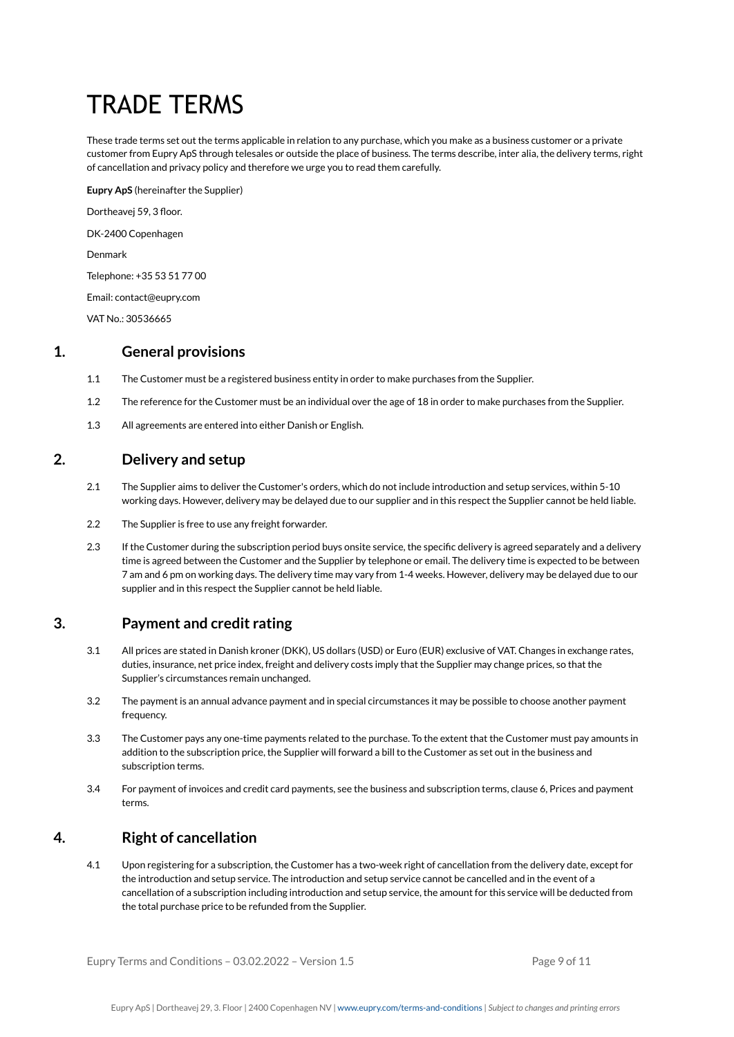# TRADE TERMS

These trade terms set out the terms applicable in relation to any purchase, which you make as a business customer or a private customer from Eupry ApS through telesales or outside the place of business. The terms describe, inter alia, the delivery terms, right of cancellation and privacy policy and therefore we urge you to read them carefully.

**Eupry ApS** (hereinafter the Supplier) Dortheavej 59, 3 floor. DK-2400 Copenhagen Denmark Telephone: +35 53 51 77 00

Email: contact@eupry.com

VAT No.: 30536665

## **1. General provisions**

- 1.1 The Customer must be a registered business entity in order to make purchases from the Supplier.
- 1.2 The reference for the Customer must be an individual over the age of 18 in order to make purchases from the Supplier.
- 1.3 All agreements are entered into either Danish or English.

## **2. Delivery and setup**

- 2.1 The Supplier aims to deliver the Customer's orders, which do not include introduction and setup services, within 5-10 working days. However, delivery may be delayed due to our supplier and in this respect the Supplier cannot be held liable.
- 2.2 The Supplier is free to use any freight forwarder.
- 2.3 If the Customer during the subscription period buys onsite service, the specific delivery is agreed separately and a delivery time is agreed between the Customer and the Supplier by telephone or email. The delivery time is expected to be between 7 am and 6 pm on working days. The delivery time may vary from 1-4 weeks. However, delivery may be delayed due to our supplier and in this respect the Supplier cannot be held liable.

# **3. Payment and credit rating**

- 3.1 All prices are stated in Danish kroner (DKK), US dollars (USD) or Euro (EUR) exclusive of VAT. Changes in exchange rates, duties, insurance, net price index, freight and delivery costs imply that the Supplier may change prices, so that the Supplier's circumstances remain unchanged.
- 3.2 The payment is an annual advance payment and in special circumstances it may be possible to choose another payment frequency.
- 3.3 The Customer pays any one-time payments related to the purchase. To the extent that the Customer must pay amounts in addition to the subscription price, the Supplier will forward a bill to the Customer as set out in the business and subscription terms.
- 3.4 For payment of invoices and credit card payments, see the business and subscription terms, clause 6, Prices and payment terms.

# **4. Right of cancellation**

4.1 Upon registering for a subscription, the Customer has a two-week right of cancellation from the delivery date, except for the introduction and setup service. The introduction and setup service cannot be cancelled and in the event of a cancellation of a subscription including introduction and setup service, the amount for this service will be deducted from the total purchase price to be refunded from the Supplier.

Eupry Terms and Conditions  $-03.02.2022 -$  Version 1.5 Page 9 of 11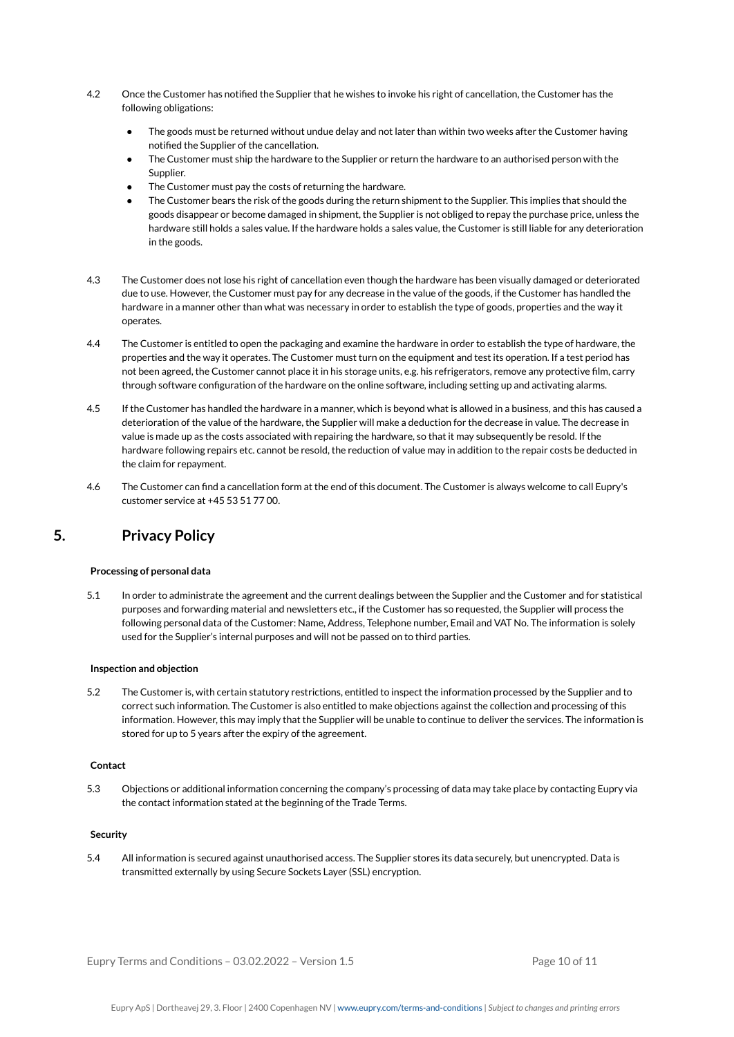- 4.2 Once the Customer has notified the Supplier that he wishes to invoke his right of cancellation, the Customer has the following obligations:
	- The goods must be returned without undue delay and not later than within two weeks after the Customer having notified the Supplier of the cancellation.
	- The Customer must ship the hardware to the Supplier or return the hardware to an authorised person with the Supplier.
	- The Customer must pay the costs of returning the hardware.
	- The Customer bears the risk of the goods during the return shipment to the Supplier. This implies that should the goods disappear or become damaged in shipment, the Supplier is not obliged to repay the purchase price, unless the hardware still holds a sales value. If the hardware holds a sales value, the Customer is still liable for any deterioration in the goods.
- 4.3 The Customer does not lose his right of cancellation even though the hardware has been visually damaged or deteriorated due to use. However, the Customer must pay for any decrease in the value of the goods, if the Customer has handled the hardware in a manner other than what was necessary in order to establish the type of goods, properties and the way it operates.
- 4.4 The Customer is entitled to open the packaging and examine the hardware in order to establish the type of hardware, the properties and the way it operates. The Customer must turn on the equipment and test its operation. If a test period has not been agreed, the Customer cannot place it in his storage units, e.g. his refrigerators, remove any protective film, carry through software configuration of the hardware on the online software, including setting up and activating alarms.
- 4.5 If the Customer has handled the hardware in a manner, which is beyond what is allowed in a business, and this has caused a deterioration of the value of the hardware, the Supplier will make a deduction for the decrease in value. The decrease in value is made up as the costs associated with repairing the hardware, so that it may subsequently be resold. If the hardware following repairs etc. cannot be resold, the reduction of value may in addition to the repair costs be deducted in the claim for repayment.
- 4.6 The Customer can find a cancellation form at the end of this document. The Customer is always welcome to call Eupry's customer service at +45 53 51 77 00.

## **5. Privacy Policy**

## **Processing of personal data**

5.1 In order to administrate the agreement and the current dealings between the Supplier and the Customer and for statistical purposes and forwarding material and newsletters etc., if the Customer has so requested, the Supplier will process the following personal data of the Customer: Name, Address, Telephone number, Email and VAT No. The information is solely used for the Supplier's internal purposes and will not be passed on to third parties.

## **Inspection and objection**

5.2 The Customer is, with certain statutory restrictions, entitled to inspect the information processed by the Supplier and to correct such information. The Customer is also entitled to make objections against the collection and processing of this information. However, this may imply that the Supplier will be unable to continue to deliver the services. The information is stored for up to 5 years after the expiry of the agreement.

## **Contact**

5.3 Objections or additional information concerning the company's processing of data may take place by contacting Eupry via the contact information stated at the beginning of the Trade Terms.

## **Security**

5.4 All information is secured against unauthorised access. The Supplier stores its data securely, but unencrypted. Data is transmitted externally by using Secure Sockets Layer (SSL) encryption.

Eupry Terms and Conditions  $-03.02.2022 - V$ ersion  $1.5$  Page 10 of 11